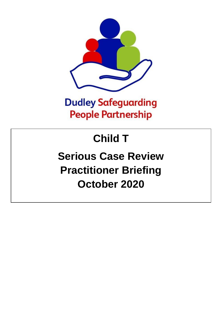

## **Dudley Safeguarding People Partnership**

# **Child T**

## **Serious Case Review Practitioner Briefing October 2020**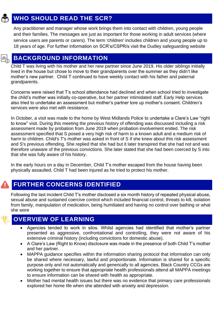### **WHO SHOULD READ THE SCR?**

Any practitioner and manager whose work brings them into contact with children, young people and their families. The messages are just as important for those working in adult services (where service users are parents or carers). The term 'children' includes children and young people up to 18 years of age. For further information on SCR's/CSPR/s visit the Dudley safeguarding website

### **BACKGROUND INFORMATION**

Child T was living with his mother and her new partner since June 2019. His older siblings initially lived in the house but chose to move to their grandparents over the summer as they didn't like mother's new partner. Child T continued to have weekly contact with his father and paternal grandparents.

Concerns were raised that T's school attendance had declined and when school tried to investigate the child's mother was initially co-operative, but her partner intimidated staff. Early Help services also tried to undertake an assessment but mother's partner tore up mother's consent. Children's services were also met with resistance.

In October, a visit was made to the home by West Midlands Police to undertake a Clare's Law "right to know" visit. During this meeting the previous history of offending was discussed including a risk assessment made by probation from June 2019 when probation involvement ended. The risk assessment specified that S posed a very high risk of harm to a known adult and a medium risk of harm to children. Child's T's mother was asked in front of S if she knew about this risk assessment and S's previous offending. She replied that she had but it later transpired that she had not and was therefore unaware of the previous convictions. She later stated that she had been coerced by S into that she was fully aware of his history.

In the early hours on a day in December, Child T's mother escaped from the house having been physically assaulted, Child T had been injured as he tried to protect his mother.

## **FURTHER CONCERNS IDENTIFIED**

Following the last incident Child T's mother disclosed a six month history of repeated physical abuse, sexual abuse and sustained coercive control which included financial control, threats to kill, isolation from family, manipulation of medication, being humiliated and having no control over bathing or what she wore

#### **OVERVIEW OF LEARNING**

- Agencies tended to work in silos. Whilst agencies had identified that mother's partner presented as aggressive, confrontational and controlling, they were not aware of his extensive criminal history (including convictions for domestic abuse).
- A Clare's Law (Right to Know) disclosure was made in the presence of both Child T's mother and her partner.
- MAPPA guidance specifies within the information sharing protocol that information can only be shared where necessary, lawful and proportionate. Information is shared for a specific purpose only and not automatically and generically to all agencies. Black Country CCGs are working together to ensure that appropriate health professionals attend all MAPPA meetings to ensure information can be shared with health as appropriate.
- Mother had mental health issues but there was no evidence that primary care professionals explored her home life when she attended with anxiety and depression.